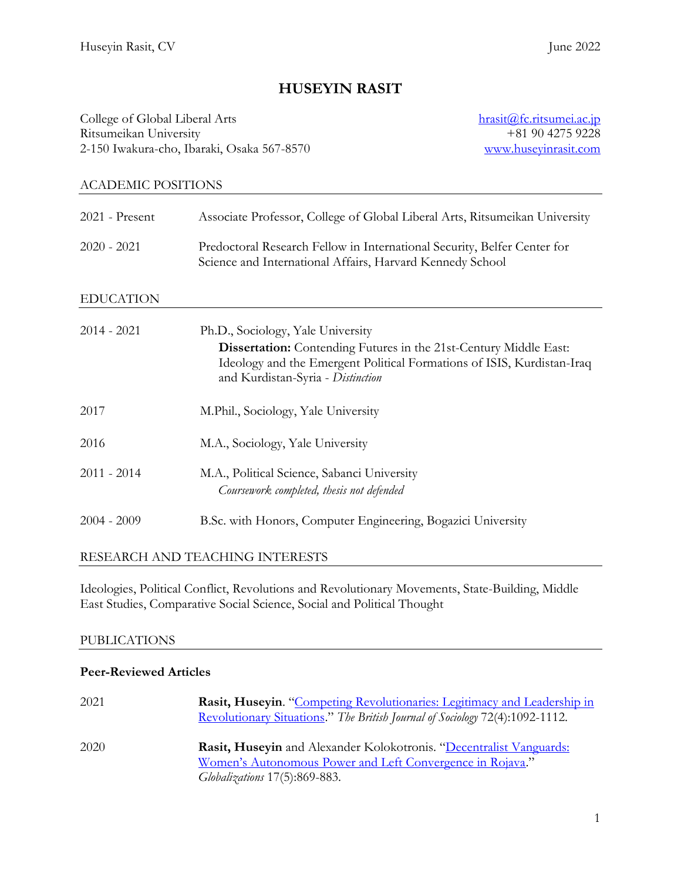# **HUSEYIN RASIT**

College of Global Liberal Arts Ritsumeikan University 2-150 Iwakura-cho, Ibaraki, Osaka 567-8570 [hrasit@fc.ritsumei.ac.jp](mailto:hrasit@fc.ritsumei.ac.jp) +81 90 4275 9228 [www.huseyinrasit.com](http://www.huseyinrasit.com/)

# ACADEMIC POSITIONS

| 2021 - Present   | Associate Professor, College of Global Liberal Arts, Ritsumeikan University                                                                                                                                                  |
|------------------|------------------------------------------------------------------------------------------------------------------------------------------------------------------------------------------------------------------------------|
| $2020 - 2021$    | Predoctoral Research Fellow in International Security, Belfer Center for<br>Science and International Affairs, Harvard Kennedy School                                                                                        |
| <b>EDUCATION</b> |                                                                                                                                                                                                                              |
| $2014 - 2021$    | Ph.D., Sociology, Yale University<br><b>Dissertation:</b> Contending Futures in the 21st-Century Middle East:<br>Ideology and the Emergent Political Formations of ISIS, Kurdistan-Iraq<br>and Kurdistan-Syria - Distinction |
| 2017             | M.Phil., Sociology, Yale University                                                                                                                                                                                          |
| 2016             | M.A., Sociology, Yale University                                                                                                                                                                                             |
| $2011 - 2014$    | M.A., Political Science, Sabanci University<br>Coursework completed, thesis not defended                                                                                                                                     |
| $2004 - 2009$    | B.Sc. with Honors, Computer Engineering, Bogazici University                                                                                                                                                                 |

# RESEARCH AND TEACHING INTERESTS

Ideologies, Political Conflict, Revolutions and Revolutionary Movements, State-Building, Middle East Studies, Comparative Social Science, Social and Political Thought

# PUBLICATIONS

# **Peer-Reviewed Articles**

| 2021 | Rasit, Huseyin. "Competing Revolutionaries: Legitimacy and Leadership in<br>Revolutionary Situations." The British Journal of Sociology 72(4):1092-1112.                 |
|------|--------------------------------------------------------------------------------------------------------------------------------------------------------------------------|
| 2020 | Rasit, Huseyin and Alexander Kolokotronis. "Decentralist Vanguards:<br>Women's Autonomous Power and Left Convergence in Rojava."<br><i>Globalizations</i> 17(5):869-883. |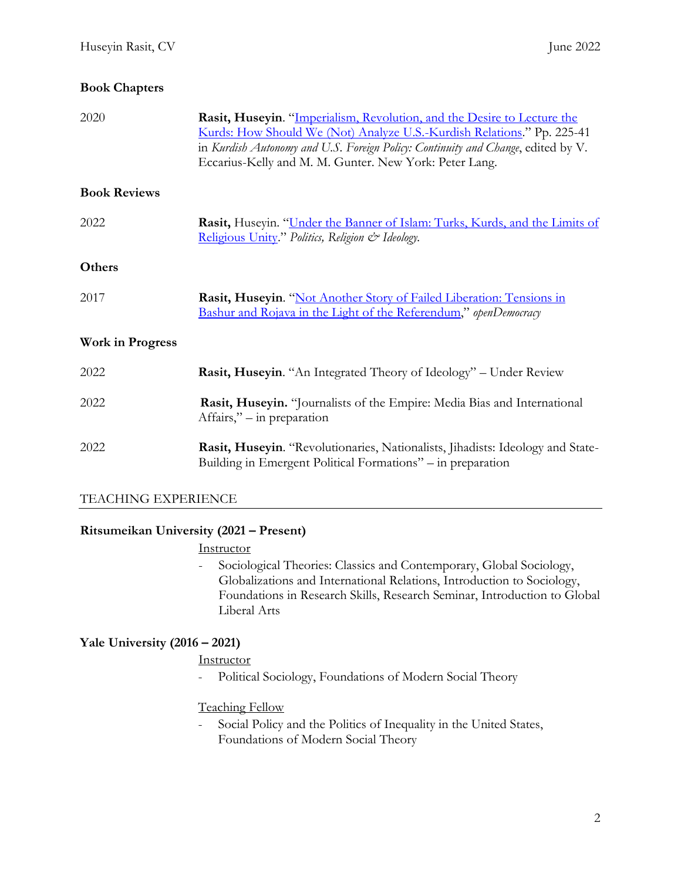# **Book Chapters**

| 2020                    | Rasit, Huseyin. "Imperialism, Revolution, and the Desire to Lecture the<br>Kurds: How Should We (Not) Analyze U.S.-Kurdish Relations." Pp. 225-41<br>in Kurdish Autonomy and U.S. Foreign Policy: Continuity and Change, edited by V.<br>Eccarius-Kelly and M. M. Gunter. New York: Peter Lang. |
|-------------------------|-------------------------------------------------------------------------------------------------------------------------------------------------------------------------------------------------------------------------------------------------------------------------------------------------|
| <b>Book Reviews</b>     |                                                                                                                                                                                                                                                                                                 |
| 2022                    | Rasit, Huseyin. "Under the Banner of Islam: Turks, Kurds, and the Limits of<br>Religious Unity." Politics, Religion & Ideology.                                                                                                                                                                 |
| Others                  |                                                                                                                                                                                                                                                                                                 |
| 2017                    | Rasit, Huseyin. "Not Another Story of Failed Liberation: Tensions in<br><b>Bashur and Rojava in the Light of the Referendum,"</b> openDemocracy                                                                                                                                                 |
| <b>Work in Progress</b> |                                                                                                                                                                                                                                                                                                 |
| 2022                    | Rasit, Huseyin. "An Integrated Theory of Ideology" - Under Review                                                                                                                                                                                                                               |
| 2022                    | Rasit, Huseyin. "Journalists of the Empire: Media Bias and International<br>Affairs," – in preparation                                                                                                                                                                                          |
| 2022                    | Rasit, Huseyin. "Revolutionaries, Nationalists, Jihadists: Ideology and State-<br>Building in Emergent Political Formations" - in preparation                                                                                                                                                   |

# TEACHING EXPERIENCE

# **Ritsumeikan University (2021 – Present)**

# **Instructor**

- Sociological Theories: Classics and Contemporary, Global Sociology, Globalizations and International Relations, Introduction to Sociology, Foundations in Research Skills, Research Seminar, Introduction to Global Liberal Arts

# **Yale University (2016 – 2021)**

# **Instructor**

- Political Sociology, Foundations of Modern Social Theory

# Teaching Fellow

- Social Policy and the Politics of Inequality in the United States, Foundations of Modern Social Theory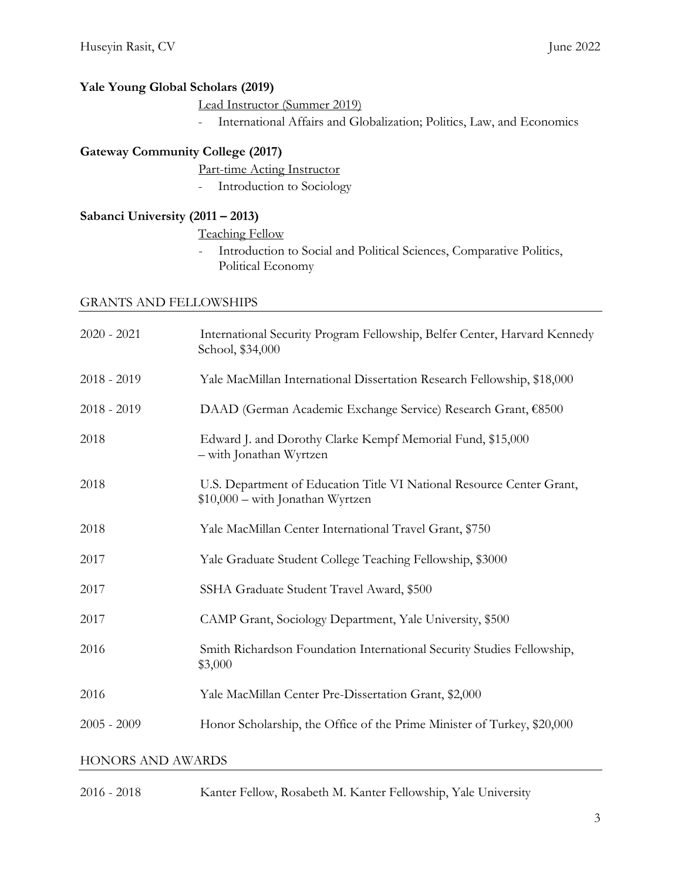# **Yale Young Global Scholars (2019)**

Lead Instructor (Summer 2019)

- International Affairs and Globalization; Politics, Law, and Economics

# **Gateway Community College (2017)**

- Part-time Acting Instructor
- Introduction to Sociology

# **Sabanci University (2011 – 2013)**

Teaching Fellow

- Introduction to Social and Political Sciences, Comparative Politics, Political Economy

#### GRANTS AND FELLOWSHIPS

| $2020 - 2021$            | International Security Program Fellowship, Belfer Center, Harvard Kennedy<br>School, \$34,000             |  |
|--------------------------|-----------------------------------------------------------------------------------------------------------|--|
| $2018 - 2019$            | Yale MacMillan International Dissertation Research Fellowship, \$18,000                                   |  |
| $2018 - 2019$            | DAAD (German Academic Exchange Service) Research Grant, €8500                                             |  |
| 2018                     | Edward J. and Dorothy Clarke Kempf Memorial Fund, \$15,000<br>- with Jonathan Wyrtzen                     |  |
| 2018                     | U.S. Department of Education Title VI National Resource Center Grant,<br>\$10,000 - with Jonathan Wyrtzen |  |
| 2018                     | Yale MacMillan Center International Travel Grant, \$750                                                   |  |
| 2017                     | Yale Graduate Student College Teaching Fellowship, \$3000                                                 |  |
| 2017                     | SSHA Graduate Student Travel Award, \$500                                                                 |  |
| 2017                     | CAMP Grant, Sociology Department, Yale University, \$500                                                  |  |
| 2016                     | Smith Richardson Foundation International Security Studies Fellowship,<br>\$3,000                         |  |
| 2016                     | Yale MacMillan Center Pre-Dissertation Grant, \$2,000                                                     |  |
| $2005 - 2009$            | Honor Scholarship, the Office of the Prime Minister of Turkey, \$20,000                                   |  |
| <b>HONORS AND AWARDS</b> |                                                                                                           |  |

2016 - 2018 Kanter Fellow, Rosabeth M. Kanter Fellowship, Yale University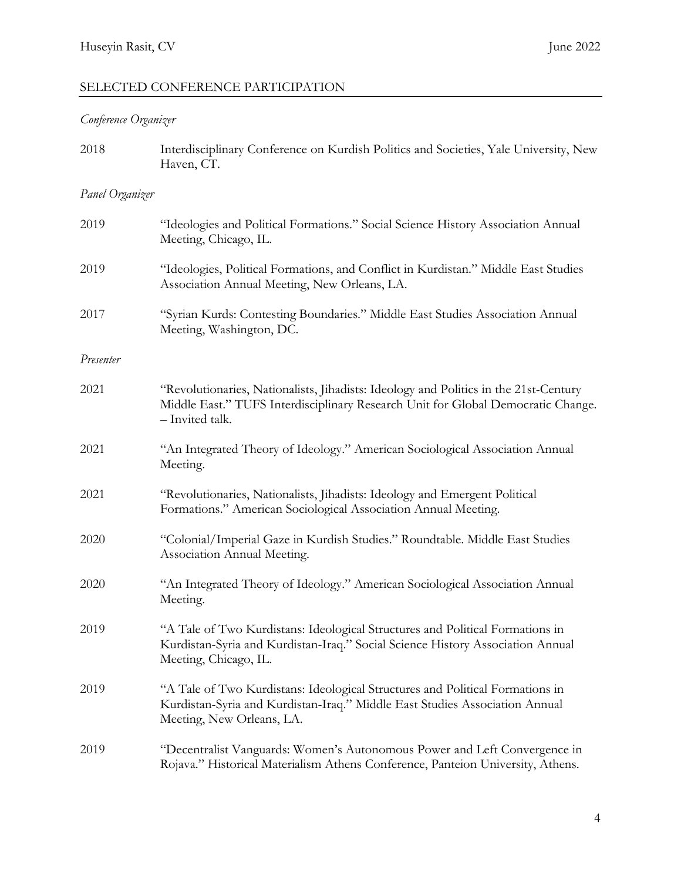# SELECTED CONFERENCE PARTICIPATION

# *Conference Organizer*

| 2018            | Interdisciplinary Conference on Kurdish Politics and Societies, Yale University, New<br>Haven, CT.                                                                                          |
|-----------------|---------------------------------------------------------------------------------------------------------------------------------------------------------------------------------------------|
| Panel Organizer |                                                                                                                                                                                             |
| 2019            | "Ideologies and Political Formations." Social Science History Association Annual<br>Meeting, Chicago, IL.                                                                                   |
| 2019            | "Ideologies, Political Formations, and Conflict in Kurdistan." Middle East Studies<br>Association Annual Meeting, New Orleans, LA.                                                          |
| 2017            | "Syrian Kurds: Contesting Boundaries." Middle East Studies Association Annual<br>Meeting, Washington, DC.                                                                                   |
| Presenter       |                                                                                                                                                                                             |
| 2021            | "Revolutionaries, Nationalists, Jihadists: Ideology and Politics in the 21st-Century<br>Middle East." TUFS Interdisciplinary Research Unit for Global Democratic Change.<br>- Invited talk. |
| 2021            | "An Integrated Theory of Ideology." American Sociological Association Annual<br>Meeting.                                                                                                    |
| 2021            | "Revolutionaries, Nationalists, Jihadists: Ideology and Emergent Political<br>Formations." American Sociological Association Annual Meeting.                                                |
| 2020            | "Colonial/Imperial Gaze in Kurdish Studies." Roundtable. Middle East Studies<br>Association Annual Meeting.                                                                                 |
| 2020            | "An Integrated Theory of Ideology." American Sociological Association Annual<br>Meeting.                                                                                                    |
| 2019            | "A Tale of Two Kurdistans: Ideological Structures and Political Formations in<br>Kurdistan-Syria and Kurdistan-Iraq." Social Science History Association Annual<br>Meeting, Chicago, IL.    |
| 2019            | "A Tale of Two Kurdistans: Ideological Structures and Political Formations in<br>Kurdistan-Syria and Kurdistan-Iraq." Middle East Studies Association Annual<br>Meeting, New Orleans, LA.   |
| 2019            | "Decentralist Vanguards: Women's Autonomous Power and Left Convergence in<br>Rojava." Historical Materialism Athens Conference, Panteion University, Athens.                                |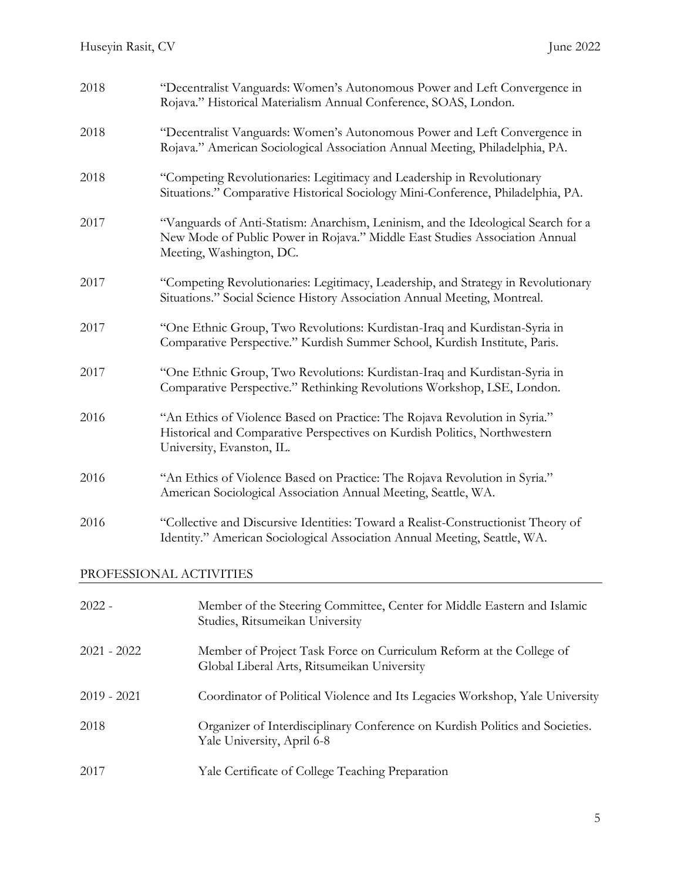| 2018                    | "Decentralist Vanguards: Women's Autonomous Power and Left Convergence in<br>Rojava." Historical Materialism Annual Conference, SOAS, London.                                                |  |
|-------------------------|----------------------------------------------------------------------------------------------------------------------------------------------------------------------------------------------|--|
| 2018                    | "Decentralist Vanguards: Women's Autonomous Power and Left Convergence in<br>Rojava." American Sociological Association Annual Meeting, Philadelphia, PA.                                    |  |
| 2018                    | "Competing Revolutionaries: Legitimacy and Leadership in Revolutionary<br>Situations." Comparative Historical Sociology Mini-Conference, Philadelphia, PA.                                   |  |
| 2017                    | "Vanguards of Anti-Statism: Anarchism, Leninism, and the Ideological Search for a<br>New Mode of Public Power in Rojava." Middle East Studies Association Annual<br>Meeting, Washington, DC. |  |
| 2017                    | "Competing Revolutionaries: Legitimacy, Leadership, and Strategy in Revolutionary<br>Situations." Social Science History Association Annual Meeting, Montreal.                               |  |
| 2017                    | "One Ethnic Group, Two Revolutions: Kurdistan-Iraq and Kurdistan-Syria in<br>Comparative Perspective." Kurdish Summer School, Kurdish Institute, Paris.                                      |  |
| 2017                    | "One Ethnic Group, Two Revolutions: Kurdistan-Iraq and Kurdistan-Syria in<br>Comparative Perspective." Rethinking Revolutions Workshop, LSE, London.                                         |  |
| 2016                    | "An Ethics of Violence Based on Practice: The Rojava Revolution in Syria."<br>Historical and Comparative Perspectives on Kurdish Politics, Northwestern<br>University, Evanston, IL.         |  |
| 2016                    | "An Ethics of Violence Based on Practice: The Rojava Revolution in Syria."<br>American Sociological Association Annual Meeting, Seattle, WA.                                                 |  |
| 2016                    | "Collective and Discursive Identities: Toward a Realist-Constructionist Theory of<br>Identity." American Sociological Association Annual Meeting, Seattle, WA.                               |  |
| PROFESSIONAL ACTIVITIES |                                                                                                                                                                                              |  |
| $2022 -$                | Member of the Steering Committee, Center for Middle Eastern and Islamic<br>Studies, Ritsumeikan University                                                                                   |  |
| $2021 - 2022$           | Member of Project Task Force on Curriculum Reform at the College of<br>Global Liberal Arts, Ritsumeikan University                                                                           |  |
| $2019 - 2021$           | Coordinator of Political Violence and Its Legacies Workshop, Yale University                                                                                                                 |  |
| 2018                    | Organizer of Interdisciplinary Conference on Kurdish Politics and Societies.<br>Yale University, April 6-8                                                                                   |  |
| 2017                    | Yale Certificate of College Teaching Preparation                                                                                                                                             |  |